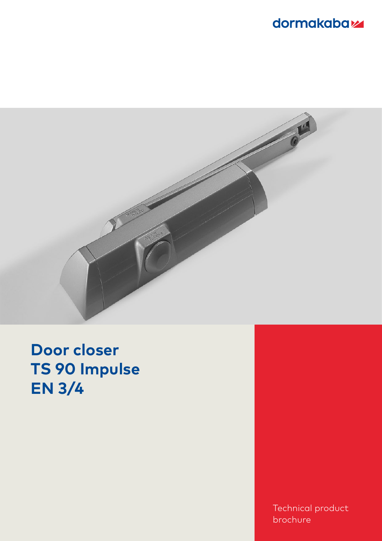## dormakabaz



**Door closer TS 90 Impulse EN 3/4**

> Technical product brochure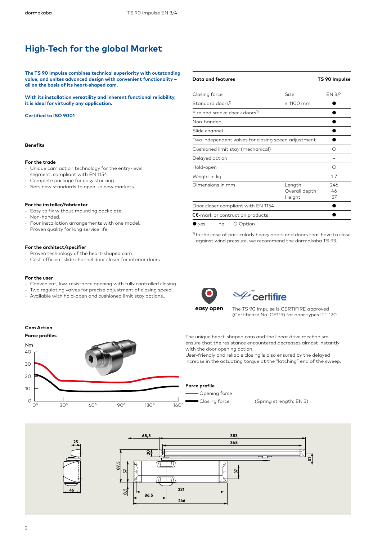### **High-Tech for the global Market**

**The TS 90 Impulse combines technical superiority with outstanding value, and unites advanced design with convenient functionality – all on the basis of its heart-shaped cam.**

**With its installation versatility and inherent functional reliability, it is ideal for virtually any application.**

#### **Certified to ISO 9001**

#### **Benefits**

#### **For the trade**

- . Unique cam action technology for the entry-level segment, compliant with EN 1154.
- segment, compliant with EN 1134.<br>Complete package for easy stocking.
- . Sets new standards to open up new markets.

#### **For the installer/fabricator**

- . Or the mstaner, rabitator<br>· Easy to fix without mounting backplate.
- . Lasy to hx wi<br>. Non-handed.
- Four installation arrangements with one model. .
- Proven quality for long service life

#### **For the architect/specifier**

- . or the architecty specifier<br>. Proven technology of the heart-shaped cam.
- Troven technology of the neart-shaped cam.<br>• Cost-efficient slide channel door closer for interior doors.

#### **For the user**

**Cam Action**

- $\cdot$  Convenient, low-resistance opening with fully controlled closing.
- . Convenient, low-resistance opening with rolly controlled closing<br>Two regulating valves for precise adjustment of closing speed.
- Two regolating valves for precise adjoscition of closing spe<br>• Available with hold-open and cushioned limit stay options..



<sup>1)</sup> In the case of particularly heavy doors and doors that have to close against wind pressure, we recommend the dormakaba TS 93.



# $\mathcal{L}_{\text{certifier}}$

The TS 90 Impulse is CERTIFIRE approved (Certificate No. CF119) for door types ITT 120

The unique heart-shaped cam and the linear drive mechanism ensure that the resistance encountered decreases almost instantly with the door opening action.

User-friendly and reliable closing is also ensured by the delayed increase in the actuating torque at the "latching" end of the sweep.



**Force profile**

Closing force (Spring strength: EN 3)

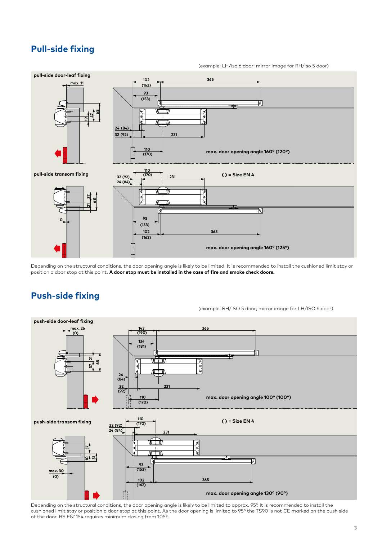### **Pull-side fixing**

(example: LH/iso 6 door; mirror image for RH/iso 5 door)



Depending on the structural conditions, the door opening angle is likely to be limited. It is recommended to install the cushioned limit stay or position a door stop at this point. **A door stop must be installed in the case of fire and smoke check doors.**

### **Push-side fixing**



Depending on the structural conditions, the door opening angle is likely to be limited to approx. 95°. It is recommended to install the cushioned limit stay or position a door stop at this point. As the door opening is limited to 95º the TS90 is not CE marked on the push side of the door. BS EN1154 requires minimum closing from 105º.

#### (example: RH/ISO 5 door; mirror image for LH/ISO 6 door)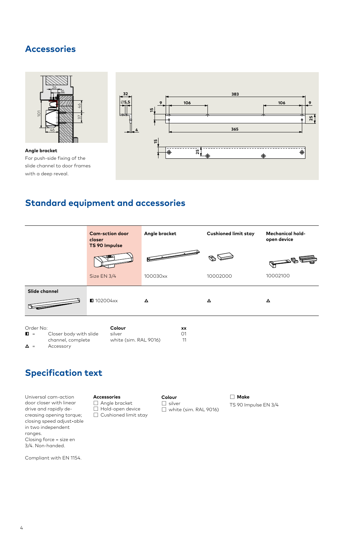### **Accessories**



### **Standard equipment and accessories**



## **Specification text**

Universal cam-action door closer with linear drive and rapidly decreasing opening torque; closing speed adjust•able in two independent ranges. Closing force = size en 3/4. Non-handed.

**Accessories** ☐ Angle bracket ☐ Hold-open device ☐ Cushioned limit stay **Colour** ☐ silver ☐ white (sim. RAL 9016) ☐ **Make**

TS 90 Impulse EN 3/4

**9**

**25**

Compliant with EN 1154.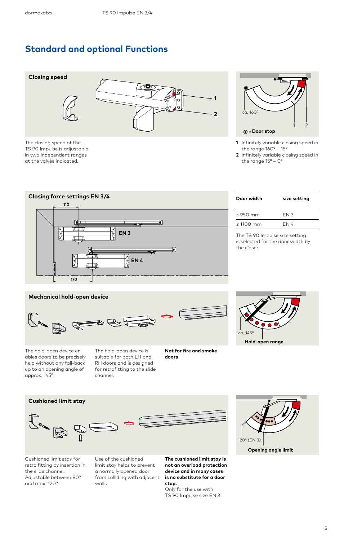### **Standard and optional Functions**



The closing speed of the TS 90 Impulse is adjustable in two independent ranges at the valves indicated.



**1** Infinitely variable closing speed in the range 160° – 15°

**2** Infinitely variable closing speed in the range  $15^{\circ}$  – 0°



| Door width          | size setting |
|---------------------|--------------|
| $<$ 950 mm          | FN 3         |
| $< 1100 \text{ mm}$ | FN 4         |
|                     |              |

The TS 90 Impulse size setting is selected for the door width by the closer.

### **Mechanical hold-open device**



The hold-open device enables doors to be precisely held without any fall-back up to an opening angle of approx. 145°.

The hold-open device is suitable for both LH and RH doors and is designed for retrofitting to the slide channel.

**Not for fire and smoke doors**



**Cushioned limit stay**

Cushioned limit stay for retro fitting by insertion in the slide channel. Adjustable between 80° and max. 120°.

Use of the cushioned limit stay helps to prevent a normally opened door from colliding with adjacent walls.

**The cushioned limit stay is not an overload protection device and in many cases is no substitute for a door stop.** 

Only for the use with TS 90 Impulse size EN 3